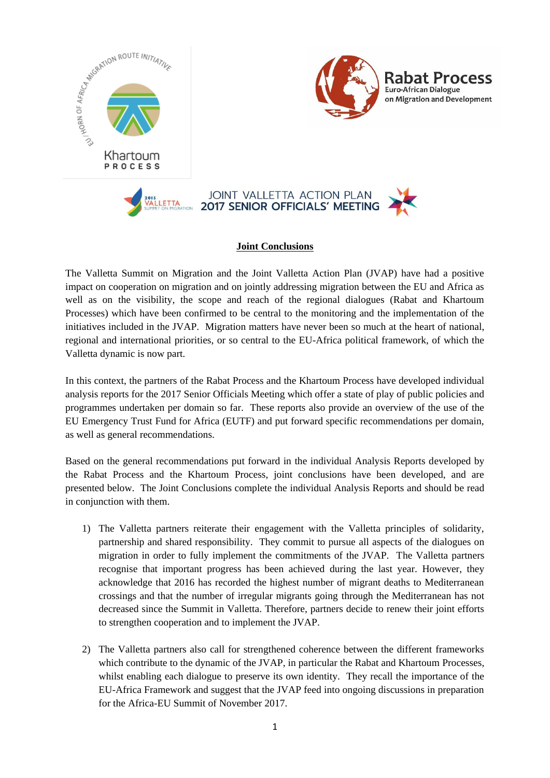

## **Joint Conclusions**

The Valletta Summit on Migration and the Joint Valletta Action Plan (JVAP) have had a positive impact on cooperation on migration and on jointly addressing migration between the EU and Africa as well as on the visibility, the scope and reach of the regional dialogues (Rabat and Khartoum Processes) which have been confirmed to be central to the monitoring and the implementation of the initiatives included in the JVAP. Migration matters have never been so much at the heart of national, regional and international priorities, or so central to the EU-Africa political framework, of which the Valletta dynamic is now part.

In this context, the partners of the Rabat Process and the Khartoum Process have developed individual analysis reports for the 2017 Senior Officials Meeting which offer a state of play of public policies and programmes undertaken per domain so far. These reports also provide an overview of the use of the EU Emergency Trust Fund for Africa (EUTF) and put forward specific recommendations per domain, as well as general recommendations.

Based on the general recommendations put forward in the individual Analysis Reports developed by the Rabat Process and the Khartoum Process, joint conclusions have been developed, and are presented below. The Joint Conclusions complete the individual Analysis Reports and should be read in conjunction with them.

- 1) The Valletta partners reiterate their engagement with the Valletta principles of solidarity, partnership and shared responsibility. They commit to pursue all aspects of the dialogues on migration in order to fully implement the commitments of the JVAP. The Valletta partners recognise that important progress has been achieved during the last year. However, they acknowledge that 2016 has recorded the highest number of migrant deaths to Mediterranean crossings and that the number of irregular migrants going through the Mediterranean has not decreased since the Summit in Valletta. Therefore, partners decide to renew their joint efforts to strengthen cooperation and to implement the JVAP.
- 2) The Valletta partners also call for strengthened coherence between the different frameworks which contribute to the dynamic of the JVAP, in particular the Rabat and Khartoum Processes, whilst enabling each dialogue to preserve its own identity. They recall the importance of the EU-Africa Framework and suggest that the JVAP feed into ongoing discussions in preparation for the Africa-EU Summit of November 2017.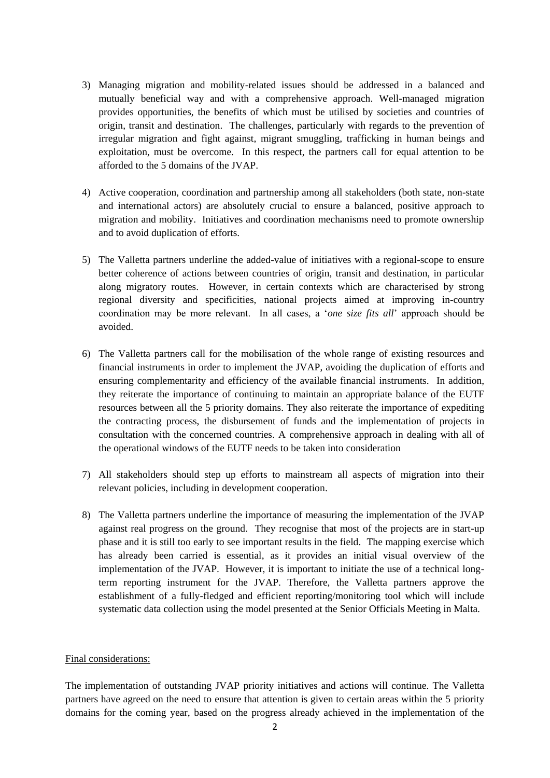- 3) Managing migration and mobility-related issues should be addressed in a balanced and mutually beneficial way and with a comprehensive approach. Well-managed migration provides opportunities, the benefits of which must be utilised by societies and countries of origin, transit and destination. The challenges, particularly with regards to the prevention of irregular migration and fight against, migrant smuggling, trafficking in human beings and exploitation, must be overcome. In this respect, the partners call for equal attention to be afforded to the 5 domains of the JVAP.
- 4) Active cooperation, coordination and partnership among all stakeholders (both state, non-state and international actors) are absolutely crucial to ensure a balanced, positive approach to migration and mobility. Initiatives and coordination mechanisms need to promote ownership and to avoid duplication of efforts.
- 5) The Valletta partners underline the added-value of initiatives with a regional-scope to ensure better coherence of actions between countries of origin, transit and destination, in particular along migratory routes. However, in certain contexts which are characterised by strong regional diversity and specificities, national projects aimed at improving in-country coordination may be more relevant. In all cases, a '*one size fits all*' approach should be avoided.
- 6) The Valletta partners call for the mobilisation of the whole range of existing resources and financial instruments in order to implement the JVAP, avoiding the duplication of efforts and ensuring complementarity and efficiency of the available financial instruments. In addition, they reiterate the importance of continuing to maintain an appropriate balance of the EUTF resources between all the 5 priority domains. They also reiterate the importance of expediting the contracting process, the disbursement of funds and the implementation of projects in consultation with the concerned countries. A comprehensive approach in dealing with all of the operational windows of the EUTF needs to be taken into consideration
- 7) All stakeholders should step up efforts to mainstream all aspects of migration into their relevant policies, including in development cooperation.
- 8) The Valletta partners underline the importance of measuring the implementation of the JVAP against real progress on the ground. They recognise that most of the projects are in start-up phase and it is still too early to see important results in the field. The mapping exercise which has already been carried is essential, as it provides an initial visual overview of the implementation of the JVAP. However, it is important to initiate the use of a technical longterm reporting instrument for the JVAP. Therefore, the Valletta partners approve the establishment of a fully-fledged and efficient reporting/monitoring tool which will include systematic data collection using the model presented at the Senior Officials Meeting in Malta.

## Final considerations:

The implementation of outstanding JVAP priority initiatives and actions will continue. The Valletta partners have agreed on the need to ensure that attention is given to certain areas within the 5 priority domains for the coming year, based on the progress already achieved in the implementation of the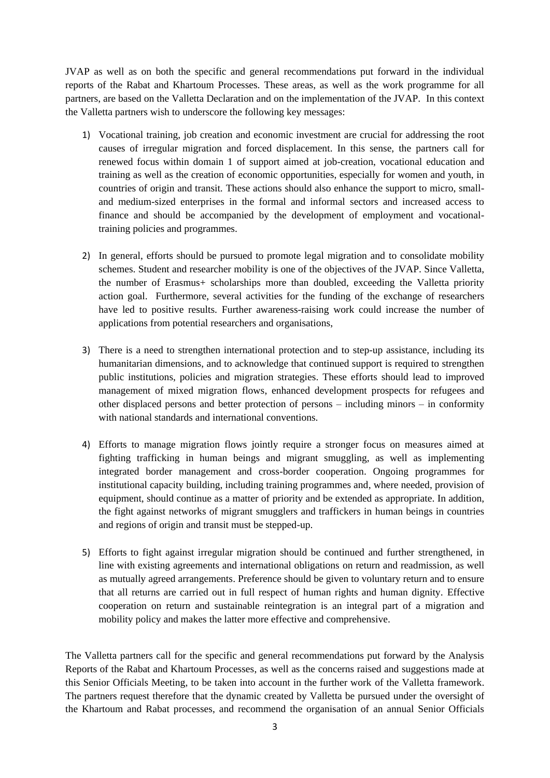JVAP as well as on both the specific and general recommendations put forward in the individual reports of the Rabat and Khartoum Processes. These areas, as well as the work programme for all partners, are based on the Valletta Declaration and on the implementation of the JVAP. In this context the Valletta partners wish to underscore the following key messages:

- 1) Vocational training, job creation and economic investment are crucial for addressing the root causes of irregular migration and forced displacement. In this sense, the partners call for renewed focus within domain 1 of support aimed at job-creation, vocational education and training as well as the creation of economic opportunities, especially for women and youth, in countries of origin and transit. These actions should also enhance the support to micro, smalland medium-sized enterprises in the formal and informal sectors and increased access to finance and should be accompanied by the development of employment and vocationaltraining policies and programmes.
- 2) In general, efforts should be pursued to promote legal migration and to consolidate mobility schemes. Student and researcher mobility is one of the objectives of the JVAP. Since Valletta, the number of Erasmus+ scholarships more than doubled, exceeding the Valletta priority action goal. Furthermore, several activities for the funding of the exchange of researchers have led to positive results. Further awareness-raising work could increase the number of applications from potential researchers and organisations,
- 3) There is a need to strengthen international protection and to step-up assistance, including its humanitarian dimensions, and to acknowledge that continued support is required to strengthen public institutions, policies and migration strategies. These efforts should lead to improved management of mixed migration flows, enhanced development prospects for refugees and other displaced persons and better protection of persons – including minors – in conformity with national standards and international conventions.
- 4) Efforts to manage migration flows jointly require a stronger focus on measures aimed at fighting trafficking in human beings and migrant smuggling, as well as implementing integrated border management and cross-border cooperation. Ongoing programmes for institutional capacity building, including training programmes and, where needed, provision of equipment, should continue as a matter of priority and be extended as appropriate. In addition, the fight against networks of migrant smugglers and traffickers in human beings in countries and regions of origin and transit must be stepped-up.
- 5) Efforts to fight against irregular migration should be continued and further strengthened, in line with existing agreements and international obligations on return and readmission, as well as mutually agreed arrangements. Preference should be given to voluntary return and to ensure that all returns are carried out in full respect of human rights and human dignity. Effective cooperation on return and sustainable reintegration is an integral part of a migration and mobility policy and makes the latter more effective and comprehensive.

The Valletta partners call for the specific and general recommendations put forward by the Analysis Reports of the Rabat and Khartoum Processes, as well as the concerns raised and suggestions made at this Senior Officials Meeting, to be taken into account in the further work of the Valletta framework. The partners request therefore that the dynamic created by Valletta be pursued under the oversight of the Khartoum and Rabat processes, and recommend the organisation of an annual Senior Officials